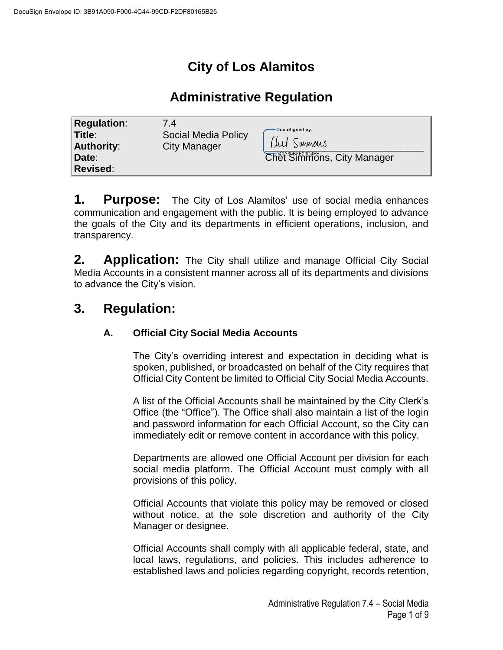# **City of Los Alamitos**

## **Administrative Regulation**

| <b>Regulation:</b><br>7.4<br>Social Media Policy<br>'Title∶`<br><b>City Manager</b><br>Authority:<br>Date:<br><b>Revised:</b> | DocuSigned by:<br>Clut Simmons<br>Chet Simmons, City Manager |
|-------------------------------------------------------------------------------------------------------------------------------|--------------------------------------------------------------|
|-------------------------------------------------------------------------------------------------------------------------------|--------------------------------------------------------------|

**1. Purpose:** The City of Los Alamitos' use of social media enhances communication and engagement with the public. It is being employed to advance the goals of the City and its departments in efficient operations, inclusion, and transparency.

**2. Application:** The City shall utilize and manage Official City Social Media Accounts in a consistent manner across all of its departments and divisions to advance the City's vision.

# **3. Regulation:**

### **A. Official City Social Media Accounts**

The City's overriding interest and expectation in deciding what is spoken, published, or broadcasted on behalf of the City requires that Official City Content be limited to Official City Social Media Accounts.

A list of the Official Accounts shall be maintained by the City Clerk's Office (the "Office"). The Office shall also maintain a list of the login and password information for each Official Account, so the City can immediately edit or remove content in accordance with this policy.

Departments are allowed one Official Account per division for each social media platform. The Official Account must comply with all provisions of this policy.

Official Accounts that violate this policy may be removed or closed without notice, at the sole discretion and authority of the City Manager or designee.

Official Accounts shall comply with all applicable federal, state, and local laws, regulations, and policies. This includes adherence to established laws and policies regarding copyright, records retention,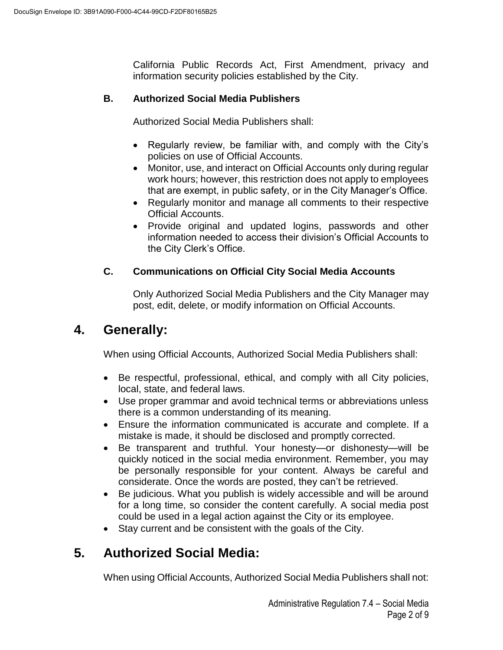California Public Records Act, First Amendment, privacy and information security policies established by the City.

### **B. Authorized Social Media Publishers**

Authorized Social Media Publishers shall:

- Regularly review, be familiar with, and comply with the City's policies on use of Official Accounts.
- Monitor, use, and interact on Official Accounts only during regular work hours; however, this restriction does not apply to employees that are exempt, in public safety, or in the City Manager's Office.
- Regularly monitor and manage all comments to their respective Official Accounts.
- Provide original and updated logins, passwords and other information needed to access their division's Official Accounts to the City Clerk's Office.

### **C. Communications on Official City Social Media Accounts**

Only Authorized Social Media Publishers and the City Manager may post, edit, delete, or modify information on Official Accounts.

## **4. Generally:**

When using Official Accounts, Authorized Social Media Publishers shall:

- Be respectful, professional, ethical, and comply with all City policies, local, state, and federal laws.
- Use proper grammar and avoid technical terms or abbreviations unless there is a common understanding of its meaning.
- Ensure the information communicated is accurate and complete. If a mistake is made, it should be disclosed and promptly corrected.
- Be transparent and truthful. Your honesty—or dishonesty—will be quickly noticed in the social media environment. Remember, you may be personally responsible for your content. Always be careful and considerate. Once the words are posted, they can't be retrieved.
- Be judicious. What you publish is widely accessible and will be around for a long time, so consider the content carefully. A social media post could be used in a legal action against the City or its employee.
- Stay current and be consistent with the goals of the City.

# **5. Authorized Social Media:**

When using Official Accounts, Authorized Social Media Publishers shall not: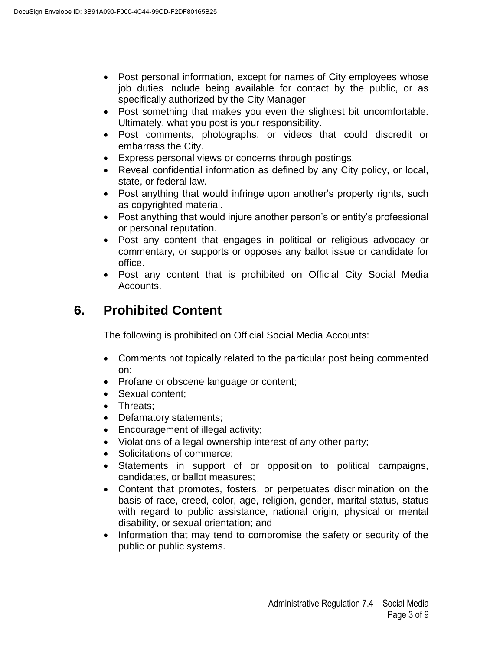- Post personal information, except for names of City employees whose job duties include being available for contact by the public, or as specifically authorized by the City Manager
- Post something that makes you even the slightest bit uncomfortable. Ultimately, what you post is your responsibility.
- Post comments, photographs, or videos that could discredit or embarrass the City.
- Express personal views or concerns through postings.
- Reveal confidential information as defined by any City policy, or local, state, or federal law.
- Post anything that would infringe upon another's property rights, such as copyrighted material.
- Post anything that would injure another person's or entity's professional or personal reputation.
- Post any content that engages in political or religious advocacy or commentary, or supports or opposes any ballot issue or candidate for office.
- Post any content that is prohibited on Official City Social Media Accounts.

# **6. Prohibited Content**

The following is prohibited on Official Social Media Accounts:

- Comments not topically related to the particular post being commented on;
- Profane or obscene language or content;
- Sexual content:
- Threats;
- Defamatory statements;
- Encouragement of illegal activity;
- Violations of a legal ownership interest of any other party;
- Solicitations of commerce;
- Statements in support of or opposition to political campaigns, candidates, or ballot measures;
- Content that promotes, fosters, or perpetuates discrimination on the basis of race, creed, color, age, religion, gender, marital status, status with regard to public assistance, national origin, physical or mental disability, or sexual orientation; and
- Information that may tend to compromise the safety or security of the public or public systems.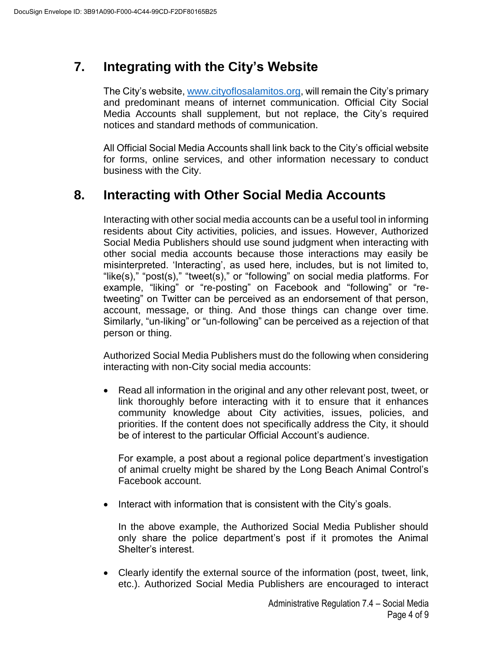# **7. Integrating with the City's Website**

The City's website, [www.cityoflosalamitos.org,](http://www.cityoflosalamitos.org/) will remain the City's primary and predominant means of internet communication. Official City Social Media Accounts shall supplement, but not replace, the City's required notices and standard methods of communication.

All Official Social Media Accounts shall link back to the City's official website for forms, online services, and other information necessary to conduct business with the City.

## **8. Interacting with Other Social Media Accounts**

Interacting with other social media accounts can be a useful tool in informing residents about City activities, policies, and issues. However, Authorized Social Media Publishers should use sound judgment when interacting with other social media accounts because those interactions may easily be misinterpreted. 'Interacting', as used here, includes, but is not limited to, "like(s)," "post(s)," "tweet(s)," or "following" on social media platforms. For example, "liking" or "re-posting" on Facebook and "following" or "retweeting" on Twitter can be perceived as an endorsement of that person, account, message, or thing. And those things can change over time. Similarly, "un-liking" or "un-following" can be perceived as a rejection of that person or thing.

Authorized Social Media Publishers must do the following when considering interacting with non-City social media accounts:

 Read all information in the original and any other relevant post, tweet, or link thoroughly before interacting with it to ensure that it enhances community knowledge about City activities, issues, policies, and priorities. If the content does not specifically address the City, it should be of interest to the particular Official Account's audience.

For example, a post about a regional police department's investigation of animal cruelty might be shared by the Long Beach Animal Control's Facebook account.

 $\bullet$  Interact with information that is consistent with the City's goals.

In the above example, the Authorized Social Media Publisher should only share the police department's post if it promotes the Animal Shelter's interest.

 Clearly identify the external source of the information (post, tweet, link, etc.). Authorized Social Media Publishers are encouraged to interact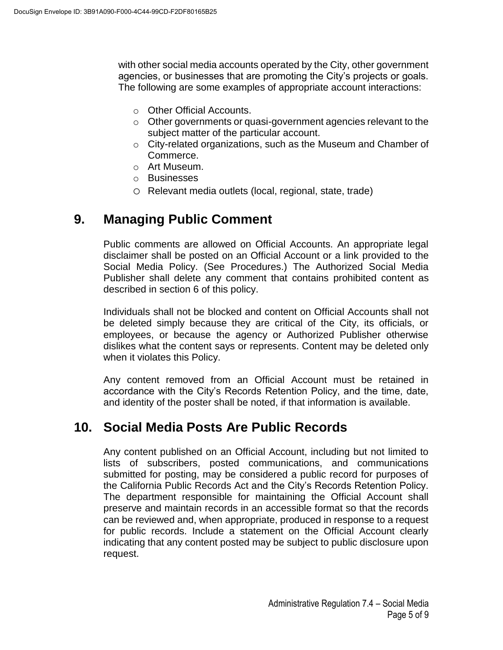with other social media accounts operated by the City, other government agencies, or businesses that are promoting the City's projects or goals. The following are some examples of appropriate account interactions:

- o Other Official Accounts.
- o Other governments or quasi-government agencies relevant to the subject matter of the particular account.
- o City-related organizations, such as the Museum and Chamber of Commerce.
- o Art Museum.
- o Businesses
- o Relevant media outlets (local, regional, state, trade)

## **9. Managing Public Comment**

Public comments are allowed on Official Accounts. An appropriate legal disclaimer shall be posted on an Official Account or a link provided to the Social Media Policy. (See Procedures.) The Authorized Social Media Publisher shall delete any comment that contains prohibited content as described in section 6 of this policy.

Individuals shall not be blocked and content on Official Accounts shall not be deleted simply because they are critical of the City, its officials, or employees, or because the agency or Authorized Publisher otherwise dislikes what the content says or represents. Content may be deleted only when it violates this Policy.

Any content removed from an Official Account must be retained in accordance with the City's Records Retention Policy, and the time, date, and identity of the poster shall be noted, if that information is available.

## **10. Social Media Posts Are Public Records**

Any content published on an Official Account, including but not limited to lists of subscribers, posted communications, and communications submitted for posting, may be considered a public record for purposes of the California Public Records Act and the City's Records Retention Policy. The department responsible for maintaining the Official Account shall preserve and maintain records in an accessible format so that the records can be reviewed and, when appropriate, produced in response to a request for public records. Include a statement on the Official Account clearly indicating that any content posted may be subject to public disclosure upon request.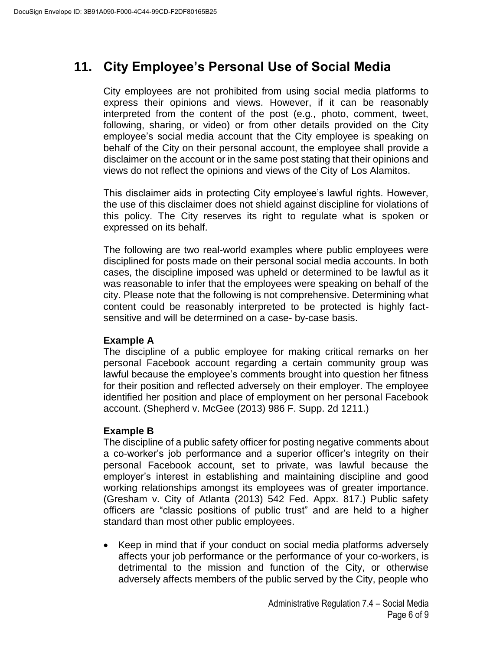# **11. City Employee's Personal Use of Social Media**

City employees are not prohibited from using social media platforms to express their opinions and views. However, if it can be reasonably interpreted from the content of the post (e.g., photo, comment, tweet, following, sharing, or video) or from other details provided on the City employee's social media account that the City employee is speaking on behalf of the City on their personal account, the employee shall provide a disclaimer on the account or in the same post stating that their opinions and views do not reflect the opinions and views of the City of Los Alamitos.

This disclaimer aids in protecting City employee's lawful rights. However, the use of this disclaimer does not shield against discipline for violations of this policy. The City reserves its right to regulate what is spoken or expressed on its behalf.

The following are two real-world examples where public employees were disciplined for posts made on their personal social media accounts. In both cases, the discipline imposed was upheld or determined to be lawful as it was reasonable to infer that the employees were speaking on behalf of the city. Please note that the following is not comprehensive. Determining what content could be reasonably interpreted to be protected is highly factsensitive and will be determined on a case- by-case basis.

#### **Example A**

The discipline of a public employee for making critical remarks on her personal Facebook account regarding a certain community group was lawful because the employee's comments brought into question her fitness for their position and reflected adversely on their employer. The employee identified her position and place of employment on her personal Facebook account. (Shepherd v. McGee (2013) 986 F. Supp. 2d 1211.)

#### **Example B**

The discipline of a public safety officer for posting negative comments about a co-worker's job performance and a superior officer's integrity on their personal Facebook account, set to private, was lawful because the employer's interest in establishing and maintaining discipline and good working relationships amongst its employees was of greater importance. (Gresham v. City of Atlanta (2013) 542 Fed. Appx. 817.) Public safety officers are "classic positions of public trust" and are held to a higher standard than most other public employees.

• Keep in mind that if your conduct on social media platforms adversely affects your job performance or the performance of your co-workers, is detrimental to the mission and function of the City, or otherwise adversely affects members of the public served by the City, people who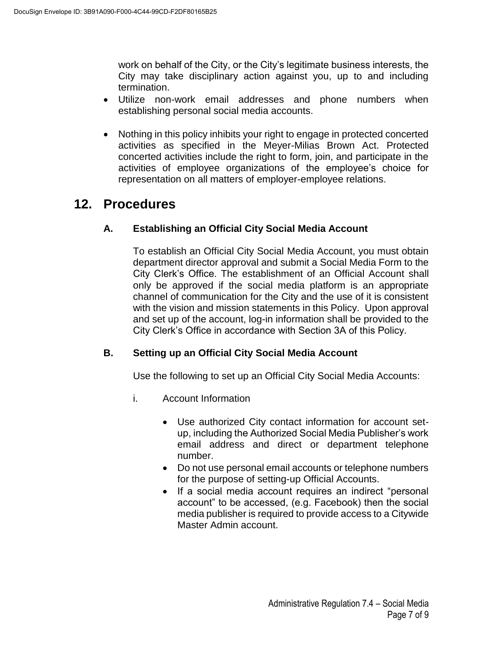work on behalf of the City, or the City's legitimate business interests, the City may take disciplinary action against you, up to and including termination.

- Utilize non-work email addresses and phone numbers when establishing personal social media accounts.
- Nothing in this policy inhibits your right to engage in protected concerted activities as specified in the Meyer-Milias Brown Act. Protected concerted activities include the right to form, join, and participate in the activities of employee organizations of the employee's choice for representation on all matters of employer-employee relations.

## **12. Procedures**

### **A. Establishing an Official City Social Media Account**

To establish an Official City Social Media Account, you must obtain department director approval and submit a Social Media Form to the City Clerk's Office. The establishment of an Official Account shall only be approved if the social media platform is an appropriate channel of communication for the City and the use of it is consistent with the vision and mission statements in this Policy. Upon approval and set up of the account, log-in information shall be provided to the City Clerk's Office in accordance with Section 3A of this Policy.

### **B. Setting up an Official City Social Media Account**

Use the following to set up an Official City Social Media Accounts:

- i. Account Information
	- Use authorized City contact information for account setup, including the Authorized Social Media Publisher's work email address and direct or department telephone number.
	- Do not use personal email accounts or telephone numbers for the purpose of setting-up Official Accounts.
	- If a social media account requires an indirect "personal account" to be accessed, (e.g. Facebook) then the social media publisher is required to provide access to a Citywide Master Admin account.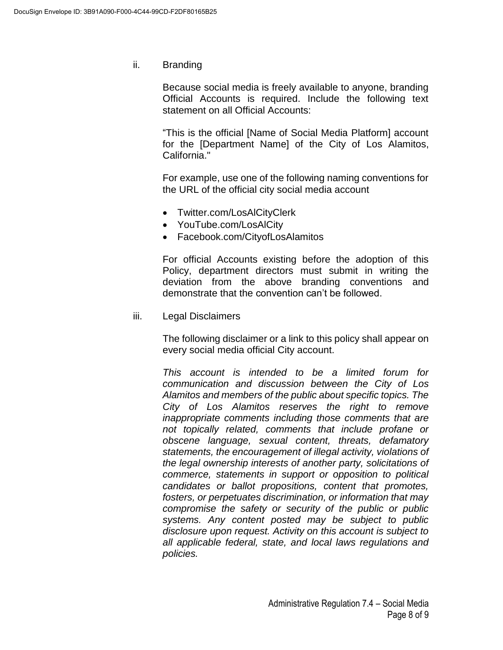ii. Branding

Because social media is freely available to anyone, branding Official Accounts is required. Include the following text statement on all Official Accounts:

"This is the official [Name of Social Media Platform] account for the [Department Name] of the City of Los Alamitos, California."

For example, use one of the following naming conventions for the URL of the official city social media account

- Twitter.com/LosAlCityClerk
- YouTube.com/LosAlCity
- Facebook.com/CityofLosAlamitos

For official Accounts existing before the adoption of this Policy, department directors must submit in writing the deviation from the above branding conventions and demonstrate that the convention can't be followed.

iii. Legal Disclaimers

The following disclaimer or a link to this policy shall appear on every social media official City account.

*This account is intended to be a limited forum for communication and discussion between the City of Los Alamitos and members of the public about specific topics. The City of Los Alamitos reserves the right to remove inappropriate comments including those comments that are not topically related, comments that include profane or obscene language, sexual content, threats, defamatory statements, the encouragement of illegal activity, violations of the legal ownership interests of another party, solicitations of commerce, statements in support or opposition to political candidates or ballot propositions, content that promotes, fosters, or perpetuates discrimination, or information that may compromise the safety or security of the public or public systems. Any content posted may be subject to public disclosure upon request. Activity on this account is subject to all applicable federal, state, and local laws regulations and policies.*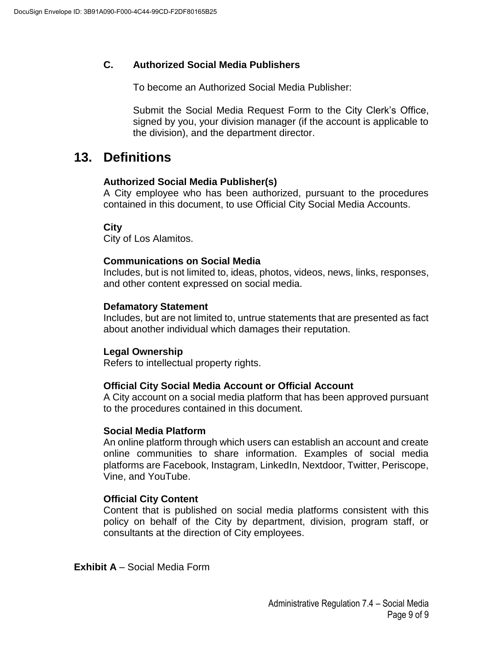### **C. Authorized Social Media Publishers**

To become an Authorized Social Media Publisher:

Submit the Social Media Request Form to the City Clerk's Office, signed by you, your division manager (if the account is applicable to the division), and the department director.

### **13. Definitions**

#### **Authorized Social Media Publisher(s)**

A City employee who has been authorized, pursuant to the procedures contained in this document, to use Official City Social Media Accounts.

**City**

City of Los Alamitos.

### **Communications on Social Media**

Includes, but is not limited to, ideas, photos, videos, news, links, responses, and other content expressed on social media.

### **Defamatory Statement**

Includes, but are not limited to, untrue statements that are presented as fact about another individual which damages their reputation.

#### **Legal Ownership**

Refers to intellectual property rights.

#### **Official City Social Media Account or Official Account**

A City account on a social media platform that has been approved pursuant to the procedures contained in this document.

#### **Social Media Platform**

An online platform through which users can establish an account and create online communities to share information. Examples of social media platforms are Facebook, Instagram, LinkedIn, Nextdoor, Twitter, Periscope, Vine, and YouTube.

### **Official City Content**

Content that is published on social media platforms consistent with this policy on behalf of the City by department, division, program staff, or consultants at the direction of City employees.

**Exhibit A** – Social Media Form